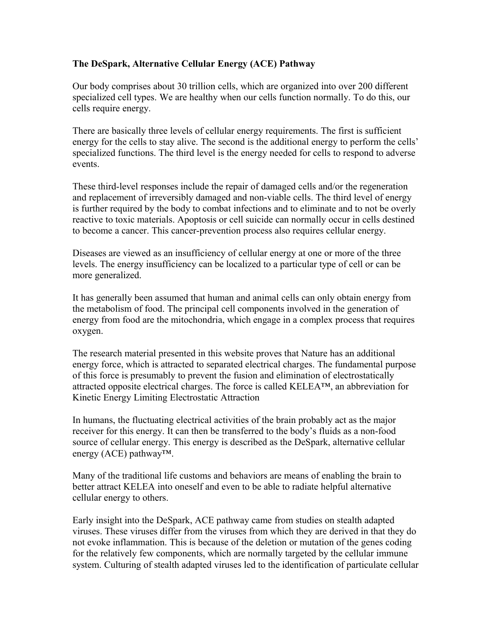## **The DeSpark, Alternative Cellular Energy (ACE) Pathway**

Our body comprises about 30 trillion cells, which are organized into over 200 different specialized cell types. We are healthy when our cells function normally. To do this, our cells require energy.

There are basically three levels of cellular energy requirements. The first is sufficient energy for the cells to stay alive. The second is the additional energy to perform the cells' specialized functions. The third level is the energy needed for cells to respond to adverse events.

These third-level responses include the repair of damaged cells and/or the regeneration and replacement of irreversibly damaged and non-viable cells. The third level of energy is further required by the body to combat infections and to eliminate and to not be overly reactive to toxic materials. Apoptosis or cell suicide can normally occur in cells destined to become a cancer. This cancer-prevention process also requires cellular energy.

Diseases are viewed as an insufficiency of cellular energy at one or more of the three levels. The energy insufficiency can be localized to a particular type of cell or can be more generalized.

It has generally been assumed that human and animal cells can only obtain energy from the metabolism of food. The principal cell components involved in the generation of energy from food are the mitochondria, which engage in a complex process that requires oxygen.

The research material presented in this website proves that Nature has an additional energy force, which is attracted to separated electrical charges. The fundamental purpose of this force is presumably to prevent the fusion and elimination of electrostatically attracted opposite electrical charges. The force is called KELEA™, an abbreviation for Kinetic Energy Limiting Electrostatic Attraction

In humans, the fluctuating electrical activities of the brain probably act as the major receiver for this energy. It can then be transferred to the body's fluids as a non-food source of cellular energy. This energy is described as the DeSpark, alternative cellular energy (ACE) pathway™.

Many of the traditional life customs and behaviors are means of enabling the brain to better attract KELEA into oneself and even to be able to radiate helpful alternative cellular energy to others.

Early insight into the DeSpark, ACE pathway came from studies on stealth adapted viruses. These viruses differ from the viruses from which they are derived in that they do not evoke inflammation. This is because of the deletion or mutation of the genes coding for the relatively few components, which are normally targeted by the cellular immune system. Culturing of stealth adapted viruses led to the identification of particulate cellular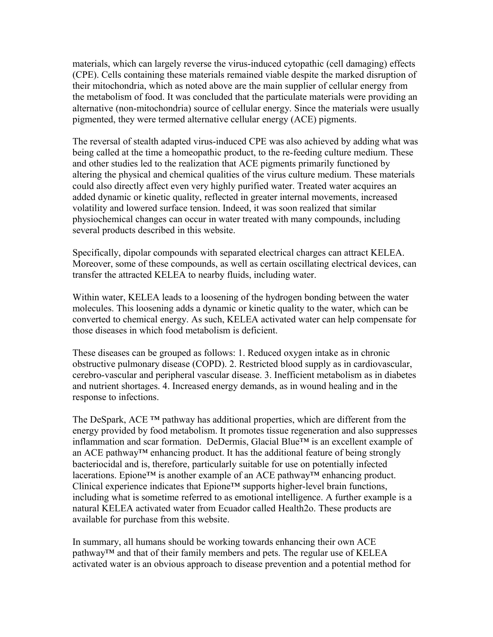materials, which can largely reverse the virus-induced cytopathic (cell damaging) effects (CPE). Cells containing these materials remained viable despite the marked disruption of their mitochondria, which as noted above are the main supplier of cellular energy from the metabolism of food. It was concluded that the particulate materials were providing an alternative (non-mitochondria) source of cellular energy. Since the materials were usually pigmented, they were termed alternative cellular energy (ACE) pigments.

The reversal of stealth adapted virus-induced CPE was also achieved by adding what was being called at the time a homeopathic product, to the re-feeding culture medium. These and other studies led to the realization that ACE pigments primarily functioned by altering the physical and chemical qualities of the virus culture medium. These materials could also directly affect even very highly purified water. Treated water acquires an added dynamic or kinetic quality, reflected in greater internal movements, increased volatility and lowered surface tension. Indeed, it was soon realized that similar physiochemical changes can occur in water treated with many compounds, including several products described in this website.

Specifically, dipolar compounds with separated electrical charges can attract KELEA. Moreover, some of these compounds, as well as certain oscillating electrical devices, can transfer the attracted KELEA to nearby fluids, including water.

Within water, KELEA leads to a loosening of the hydrogen bonding between the water molecules. This loosening adds a dynamic or kinetic quality to the water, which can be converted to chemical energy. As such, KELEA activated water can help compensate for those diseases in which food metabolism is deficient.

These diseases can be grouped as follows: 1. Reduced oxygen intake as in chronic obstructive pulmonary disease (COPD). 2. Restricted blood supply as in cardiovascular, cerebro-vascular and peripheral vascular disease. 3. Inefficient metabolism as in diabetes and nutrient shortages. 4. Increased energy demands, as in wound healing and in the response to infections.

The DeSpark, ACE ™ pathway has additional properties, which are different from the energy provided by food metabolism. It promotes tissue regeneration and also suppresses inflammation and scar formation. DeDermis, Glacial Blue™ is an excellent example of an ACE pathway™ enhancing product. It has the additional feature of being strongly bacteriocidal and is, therefore, particularly suitable for use on potentially infected lacerations. Epione™ is another example of an ACE pathway™ enhancing product. Clinical experience indicates that Epione<sup>TM</sup> supports higher-level brain functions, including what is sometime referred to as emotional intelligence. A further example is a natural KELEA activated water from Ecuador called Health2o. These products are available for purchase from this website.

In summary, all humans should be working towards enhancing their own ACE pathway™ and that of their family members and pets. The regular use of KELEA activated water is an obvious approach to disease prevention and a potential method for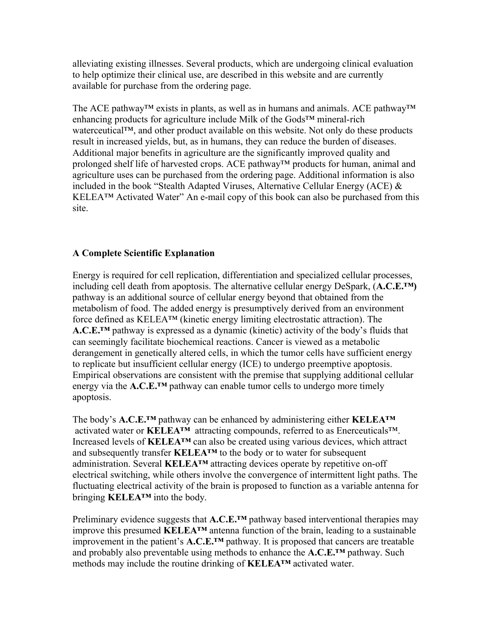alleviating existing illnesses. Several products, which are undergoing clinical evaluation to help optimize their clinical use, are described in this website and are currently available for purchase from the ordering page.

The ACE pathway™ exists in plants, as well as in humans and animals. ACE pathway™ enhancing products for agriculture include Milk of the Gods™ mineral-rich waterceutical™, and other product available on this website. Not only do these products result in increased yields, but, as in humans, they can reduce the burden of diseases. Additional major benefits in agriculture are the significantly improved quality and prolonged shelf life of harvested crops. ACE pathway™ products for human, animal and agriculture uses can be purchased from the ordering page. Additional information is also included in the book "Stealth Adapted Viruses, Alternative Cellular Energy (ACE)  $\&$ KELEA™ Activated Water" An e-mail copy of this book can also be purchased from this site.

## **A Complete Scientific Explanation**

Energy is required for cell replication, differentiation and specialized cellular processes, including cell death from apoptosis. The alternative cellular energy DeSpark, (**A.C.E.™)** pathway is an additional source of cellular energy beyond that obtained from the metabolism of food. The added energy is presumptively derived from an environment force defined as KELEA™ (kinetic energy limiting electrostatic attraction). The **A.C.E.™** pathway is expressed as a dynamic (kinetic) activity of the body's fluids that can seemingly facilitate biochemical reactions. Cancer is viewed as a metabolic derangement in genetically altered cells, in which the tumor cells have sufficient energy to replicate but insufficient cellular energy (ICE) to undergo preemptive apoptosis. Empirical observations are consistent with the premise that supplying additional cellular energy via the **A.C.E.™** pathway can enable tumor cells to undergo more timely apoptosis.

The body's **A.C.E.™** pathway can be enhanced by administering either **KELEA™** activated water or **KELEA™** attracting compounds, referred to as Enerceuticals™. Increased levels of **KELEA™** can also be created using various devices, which attract and subsequently transfer **KELEA™** to the body or to water for subsequent administration. Several **KELEA™** attracting devices operate by repetitive on-off electrical switching, while others involve the convergence of intermittent light paths. The fluctuating electrical activity of the brain is proposed to function as a variable antenna for bringing **KELEA™** into the body.

Preliminary evidence suggests that **A.C.E.™** pathway based interventional therapies may improve this presumed **KELEA™** antenna function of the brain, leading to a sustainable improvement in the patient's **A.C.E.™** pathway. It is proposed that cancers are treatable and probably also preventable using methods to enhance the **A.C.E.™** pathway. Such methods may include the routine drinking of **KELEA™** activated water.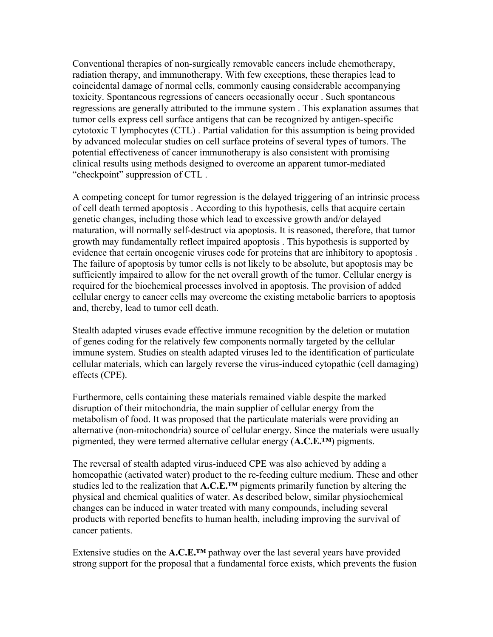Conventional therapies of non-surgically removable cancers include chemotherapy, radiation therapy, and immunotherapy. With few exceptions, these therapies lead to coincidental damage of normal cells, commonly causing considerable accompanying toxicity. Spontaneous regressions of cancers occasionally occur . Such spontaneous regressions are generally attributed to the immune system . This explanation assumes that tumor cells express cell surface antigens that can be recognized by antigen-specific cytotoxic T lymphocytes (CTL) . Partial validation for this assumption is being provided by advanced molecular studies on cell surface proteins of several types of tumors. The potential effectiveness of cancer immunotherapy is also consistent with promising clinical results using methods designed to overcome an apparent tumor-mediated "checkpoint" suppression of CTL .

A competing concept for tumor regression is the delayed triggering of an intrinsic process of cell death termed apoptosis . According to this hypothesis, cells that acquire certain genetic changes, including those which lead to excessive growth and/or delayed maturation, will normally self-destruct via apoptosis. It is reasoned, therefore, that tumor growth may fundamentally reflect impaired apoptosis . This hypothesis is supported by evidence that certain oncogenic viruses code for proteins that are inhibitory to apoptosis . The failure of apoptosis by tumor cells is not likely to be absolute, but apoptosis may be sufficiently impaired to allow for the net overall growth of the tumor. Cellular energy is required for the biochemical processes involved in apoptosis. The provision of added cellular energy to cancer cells may overcome the existing metabolic barriers to apoptosis and, thereby, lead to tumor cell death.

Stealth adapted viruses evade effective immune recognition by the deletion or mutation of genes coding for the relatively few components normally targeted by the cellular immune system. Studies on stealth adapted viruses led to the identification of particulate cellular materials, which can largely reverse the virus-induced cytopathic (cell damaging) effects (CPE).

Furthermore, cells containing these materials remained viable despite the marked disruption of their mitochondria, the main supplier of cellular energy from the metabolism of food. It was proposed that the particulate materials were providing an alternative (non-mitochondria) source of cellular energy. Since the materials were usually pigmented, they were termed alternative cellular energy (**A.C.E.™**) pigments.

The reversal of stealth adapted virus-induced CPE was also achieved by adding a homeopathic (activated water) product to the re-feeding culture medium. These and other studies led to the realization that **A.C.E.™** pigments primarily function by altering the physical and chemical qualities of water. As described below, similar physiochemical changes can be induced in water treated with many compounds, including several products with reported benefits to human health, including improving the survival of cancer patients.

Extensive studies on the **A.C.E.™** pathway over the last several years have provided strong support for the proposal that a fundamental force exists, which prevents the fusion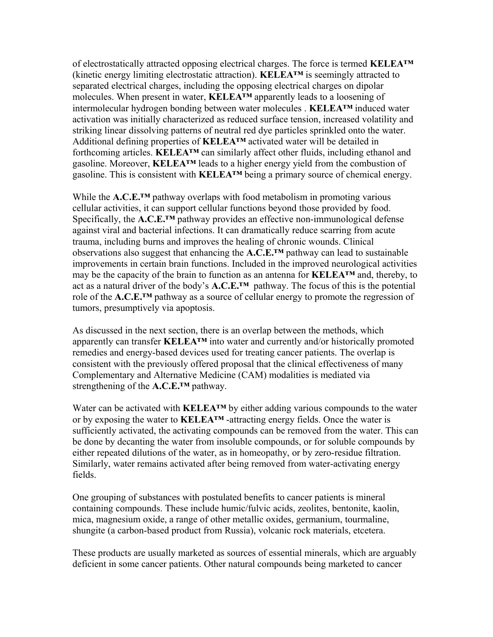of electrostatically attracted opposing electrical charges. The force is termed **KELEA™** (kinetic energy limiting electrostatic attraction). **KELEA™** is seemingly attracted to separated electrical charges, including the opposing electrical charges on dipolar molecules. When present in water, **KELEA™** apparently leads to a loosening of intermolecular hydrogen bonding between water molecules . **KELEA™** induced water activation was initially characterized as reduced surface tension, increased volatility and striking linear dissolving patterns of neutral red dye particles sprinkled onto the water. Additional defining properties of **KELEA™** activated water will be detailed in forthcoming articles. **KELEA™** can similarly affect other fluids, including ethanol and gasoline. Moreover, **KELEA™** leads to a higher energy yield from the combustion of gasoline. This is consistent with **KELEA™** being a primary source of chemical energy.

While the **A.C.E.™** pathway overlaps with food metabolism in promoting various cellular activities, it can support cellular functions beyond those provided by food. Specifically, the **A.C.E.™** pathway provides an effective non-immunological defense against viral and bacterial infections. It can dramatically reduce scarring from acute trauma, including burns and improves the healing of chronic wounds. Clinical observations also suggest that enhancing the **A.C.E.™** pathway can lead to sustainable improvements in certain brain functions. Included in the improved neurological activities may be the capacity of the brain to function as an antenna for **KELEA™** and, thereby, to act as a natural driver of the body's **A.C.E.™** pathway. The focus of this is the potential role of the **A.C.E.™** pathway as a source of cellular energy to promote the regression of tumors, presumptively via apoptosis.

As discussed in the next section, there is an overlap between the methods, which apparently can transfer **KELEA™** into water and currently and/or historically promoted remedies and energy-based devices used for treating cancer patients. The overlap is consistent with the previously offered proposal that the clinical effectiveness of many Complementary and Alternative Medicine (CAM) modalities is mediated via strengthening of the **A.C.E.™** pathway.

Water can be activated with **KELEA™** by either adding various compounds to the water or by exposing the water to **KELEA™** -attracting energy fields. Once the water is sufficiently activated, the activating compounds can be removed from the water. This can be done by decanting the water from insoluble compounds, or for soluble compounds by either repeated dilutions of the water, as in homeopathy, or by zero-residue filtration. Similarly, water remains activated after being removed from water-activating energy fields.

One grouping of substances with postulated benefits to cancer patients is mineral containing compounds. These include humic/fulvic acids, zeolites, bentonite, kaolin, mica, magnesium oxide, a range of other metallic oxides, germanium, tourmaline, shungite (a carbon-based product from Russia), volcanic rock materials, etcetera.

These products are usually marketed as sources of essential minerals, which are arguably deficient in some cancer patients. Other natural compounds being marketed to cancer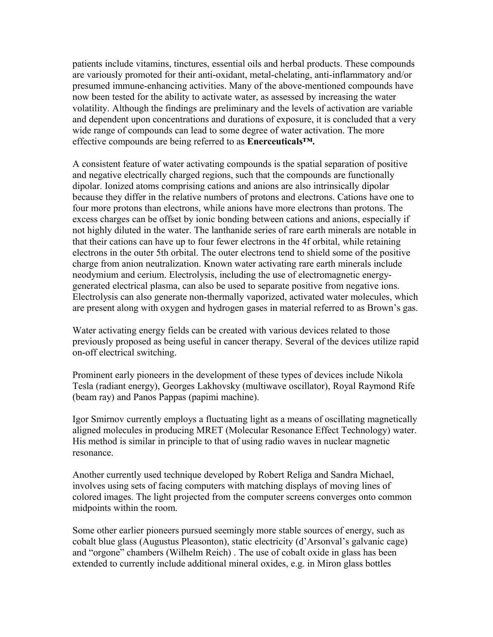patients include vitamins, tinctures, essential oils and herbal products. These compounds are variously promoted for their anti-oxidant, metal-chelating, anti-inflammatory and/or presumed immune-enhancing activities. Many of the above-mentioned compounds have now been tested for the ability to activate water, as assessed by increasing the water volatility. Although the findings are preliminary and the levels of activation are variable and dependent upon concentrations and durations of exposure, it is concluded that a very wide range of compounds can lead to some degree of water activation. The more effective compounds are being referred to as **Enerceuticals™.**

A consistent feature of water activating compounds is the spatial separation of positive and negative electrically charged regions, such that the compounds are functionally dipolar. Ionized atoms comprising cations and anions are also intrinsically dipolar because they differ in the relative numbers of protons and electrons. Cations have one to four more protons than electrons, while anions have more electrons than protons. The excess charges can be offset by ionic bonding between cations and anions, especially if not highly diluted in the water. The lanthanide series of rare earth minerals are notable in that their cations can have up to four fewer electrons in the 4f orbital, while retaining electrons in the outer 5th orbital. The outer electrons tend to shield some of the positive charge from anion neutralization. Known water activating rare earth minerals include neodymium and cerium. Electrolysis, including the use of electromagnetic energygenerated electrical plasma, can also be used to separate positive from negative ions. Electrolysis can also generate non-thermally vaporized, activated water molecules, which are present along with oxygen and hydrogen gases in material referred to as Brown's gas.

Water activating energy fields can be created with various devices related to those previously proposed as being useful in cancer therapy. Several of the devices utilize rapid on-off electrical switching.

Prominent early pioneers in the development of these types of devices include Nikola Tesla (radiant energy), Georges Lakhovsky (multiwave oscillator), Royal Raymond Rife (beam ray) and Panos Pappas (papimi machine).

Igor Smirnov currently employs a fluctuating light as a means of oscillating magnetically aligned molecules in producing MRET (Molecular Resonance Effect Technology) water. His method is similar in principle to that of using radio waves in nuclear magnetic resonance.

Another currently used technique developed by Robert Religa and Sandra Michael, involves using sets of facing computers with matching displays of moving lines of colored images. The light projected from the computer screens converges onto common midpoints within the room.

Some other earlier pioneers pursued seemingly more stable sources of energy, such as cobalt blue glass (Augustus Pleasonton), static electricity (d'Arsonval's galvanic cage) and "orgone" chambers (Wilhelm Reich) . The use of cobalt oxide in glass has been extended to currently include additional mineral oxides, e.g. in Miron glass bottles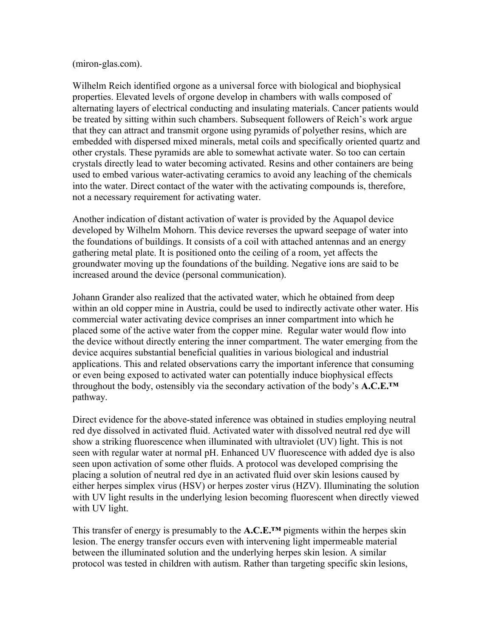## (miron-glas.com).

Wilhelm Reich identified orgone as a universal force with biological and biophysical properties. Elevated levels of orgone develop in chambers with walls composed of alternating layers of electrical conducting and insulating materials. Cancer patients would be treated by sitting within such chambers. Subsequent followers of Reich's work argue that they can attract and transmit orgone using pyramids of polyether resins, which are embedded with dispersed mixed minerals, metal coils and specifically oriented quartz and other crystals. These pyramids are able to somewhat activate water. So too can certain crystals directly lead to water becoming activated. Resins and other containers are being used to embed various water-activating ceramics to avoid any leaching of the chemicals into the water. Direct contact of the water with the activating compounds is, therefore, not a necessary requirement for activating water.

Another indication of distant activation of water is provided by the Aquapol device developed by Wilhelm Mohorn. This device reverses the upward seepage of water into the foundations of buildings. It consists of a coil with attached antennas and an energy gathering metal plate. It is positioned onto the ceiling of a room, yet affects the groundwater moving up the foundations of the building. Negative ions are said to be increased around the device (personal communication).

Johann Grander also realized that the activated water, which he obtained from deep within an old copper mine in Austria, could be used to indirectly activate other water. His commercial water activating device comprises an inner compartment into which he placed some of the active water from the copper mine. Regular water would flow into the device without directly entering the inner compartment. The water emerging from the device acquires substantial beneficial qualities in various biological and industrial applications. This and related observations carry the important inference that consuming or even being exposed to activated water can potentially induce biophysical effects throughout the body, ostensibly via the secondary activation of the body's **A.C.E.™** pathway.

Direct evidence for the above-stated inference was obtained in studies employing neutral red dye dissolved in activated fluid. Activated water with dissolved neutral red dye will show a striking fluorescence when illuminated with ultraviolet (UV) light. This is not seen with regular water at normal pH. Enhanced UV fluorescence with added dye is also seen upon activation of some other fluids. A protocol was developed comprising the placing a solution of neutral red dye in an activated fluid over skin lesions caused by either herpes simplex virus (HSV) or herpes zoster virus (HZV). Illuminating the solution with UV light results in the underlying lesion becoming fluorescent when directly viewed with UV light.

This transfer of energy is presumably to the **A.C.E.™** pigments within the herpes skin lesion. The energy transfer occurs even with intervening light impermeable material between the illuminated solution and the underlying herpes skin lesion. A similar protocol was tested in children with autism. Rather than targeting specific skin lesions,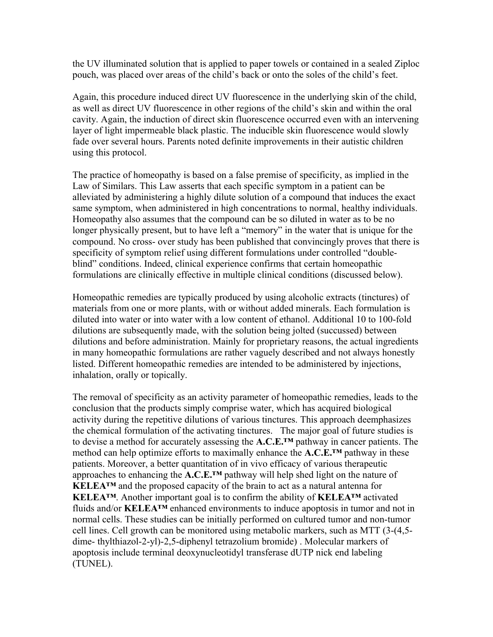the UV illuminated solution that is applied to paper towels or contained in a sealed Ziploc pouch, was placed over areas of the child's back or onto the soles of the child's feet.

Again, this procedure induced direct UV fluorescence in the underlying skin of the child, as well as direct UV fluorescence in other regions of the child's skin and within the oral cavity. Again, the induction of direct skin fluorescence occurred even with an intervening layer of light impermeable black plastic. The inducible skin fluorescence would slowly fade over several hours. Parents noted definite improvements in their autistic children using this protocol.

The practice of homeopathy is based on a false premise of specificity, as implied in the Law of Similars. This Law asserts that each specific symptom in a patient can be alleviated by administering a highly dilute solution of a compound that induces the exact same symptom, when administered in high concentrations to normal, healthy individuals. Homeopathy also assumes that the compound can be so diluted in water as to be no longer physically present, but to have left a "memory" in the water that is unique for the compound. No cross- over study has been published that convincingly proves that there is specificity of symptom relief using different formulations under controlled "doubleblind" conditions. Indeed, clinical experience confirms that certain homeopathic formulations are clinically effective in multiple clinical conditions (discussed below).

Homeopathic remedies are typically produced by using alcoholic extracts (tinctures) of materials from one or more plants, with or without added minerals. Each formulation is diluted into water or into water with a low content of ethanol. Additional 10 to 100-fold dilutions are subsequently made, with the solution being jolted (succussed) between dilutions and before administration. Mainly for proprietary reasons, the actual ingredients in many homeopathic formulations are rather vaguely described and not always honestly listed. Different homeopathic remedies are intended to be administered by injections, inhalation, orally or topically.

The removal of specificity as an activity parameter of homeopathic remedies, leads to the conclusion that the products simply comprise water, which has acquired biological activity during the repetitive dilutions of various tinctures. This approach deemphasizes the chemical formulation of the activating tinctures. The major goal of future studies is to devise a method for accurately assessing the **A.C.E.™** pathway in cancer patients. The method can help optimize efforts to maximally enhance the **A.C.E.™** pathway in these patients. Moreover, a better quantitation of in vivo efficacy of various therapeutic approaches to enhancing the **A.C.E.™** pathway will help shed light on the nature of **KELEA™** and the proposed capacity of the brain to act as a natural antenna for **KELEA™**. Another important goal is to confirm the ability of **KELEA™** activated fluids and/or **KELEA™** enhanced environments to induce apoptosis in tumor and not in normal cells. These studies can be initially performed on cultured tumor and non-tumor cell lines. Cell growth can be monitored using metabolic markers, such as MTT (3-(4,5 dime- thylthiazol-2-yl)-2,5-diphenyl tetrazolium bromide) . Molecular markers of apoptosis include terminal deoxynucleotidyl transferase dUTP nick end labeling (TUNEL).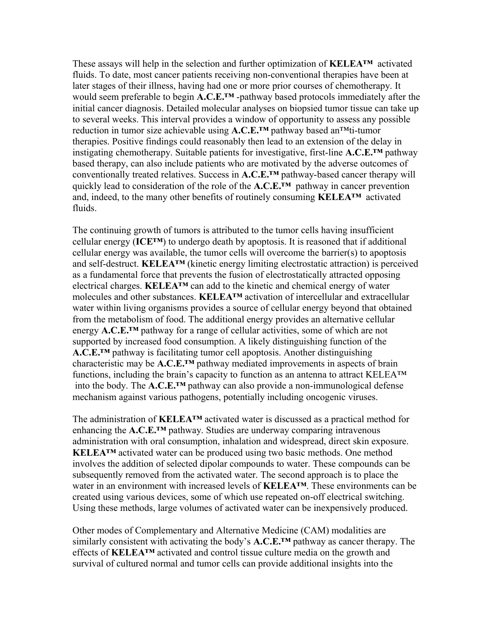These assays will help in the selection and further optimization of **KELEA™** activated fluids. To date, most cancer patients receiving non-conventional therapies have been at later stages of their illness, having had one or more prior courses of chemotherapy. It would seem preferable to begin **A.C.E.™** -pathway based protocols immediately after the initial cancer diagnosis. Detailed molecular analyses on biopsied tumor tissue can take up to several weeks. This interval provides a window of opportunity to assess any possible reduction in tumor size achievable using **A.C.E.™** pathway based an™ti-tumor therapies. Positive findings could reasonably then lead to an extension of the delay in instigating chemotherapy. Suitable patients for investigative, first-line **A.C.E.™** pathway based therapy, can also include patients who are motivated by the adverse outcomes of conventionally treated relatives. Success in **A.C.E.™** pathway-based cancer therapy will quickly lead to consideration of the role of the **A.C.E.™** pathway in cancer prevention and, indeed, to the many other benefits of routinely consuming **KELEA™** activated fluids.

The continuing growth of tumors is attributed to the tumor cells having insufficient cellular energy (**ICE™**) to undergo death by apoptosis. It is reasoned that if additional cellular energy was available, the tumor cells will overcome the barrier(s) to apoptosis and self-destruct. **KELEA™** (kinetic energy limiting electrostatic attraction) is perceived as a fundamental force that prevents the fusion of electrostatically attracted opposing electrical charges. **KELEA™** can add to the kinetic and chemical energy of water molecules and other substances. **KELEA™** activation of intercellular and extracellular water within living organisms provides a source of cellular energy beyond that obtained from the metabolism of food. The additional energy provides an alternative cellular energy **A.C.E.™** pathway for a range of cellular activities, some of which are not supported by increased food consumption. A likely distinguishing function of the **A.C.E.™** pathway is facilitating tumor cell apoptosis. Another distinguishing characteristic may be **A.C.E.™** pathway mediated improvements in aspects of brain functions, including the brain's capacity to function as an antenna to attract KELEA™ into the body. The **A.C.E.™** pathway can also provide a non-immunological defense mechanism against various pathogens, potentially including oncogenic viruses.

The administration of **KELEA™** activated water is discussed as a practical method for enhancing the **A.C.E.™** pathway. Studies are underway comparing intravenous administration with oral consumption, inhalation and widespread, direct skin exposure. **KELEA<sup>TM</sup>** activated water can be produced using two basic methods. One method involves the addition of selected dipolar compounds to water. These compounds can be subsequently removed from the activated water. The second approach is to place the water in an environment with increased levels of **KELEA™**. These environments can be created using various devices, some of which use repeated on-off electrical switching. Using these methods, large volumes of activated water can be inexpensively produced.

Other modes of Complementary and Alternative Medicine (CAM) modalities are similarly consistent with activating the body's **A.C.E.™** pathway as cancer therapy. The effects of **KELEA™** activated and control tissue culture media on the growth and survival of cultured normal and tumor cells can provide additional insights into the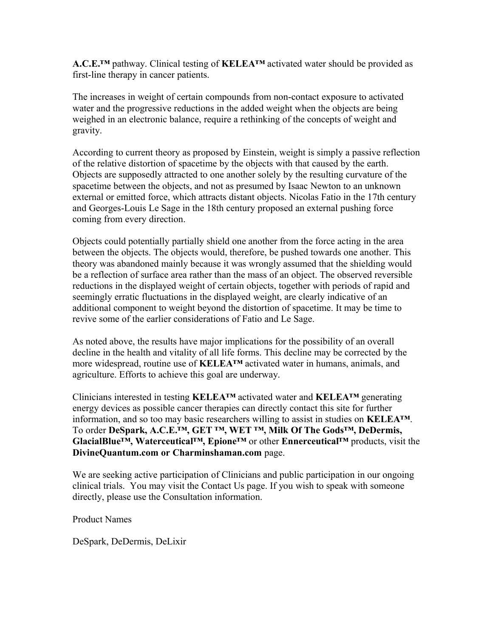**A.C.E.™** pathway. Clinical testing of **KELEA™** activated water should be provided as first-line therapy in cancer patients.

The increases in weight of certain compounds from non-contact exposure to activated water and the progressive reductions in the added weight when the objects are being weighed in an electronic balance, require a rethinking of the concepts of weight and gravity.

According to current theory as proposed by Einstein, weight is simply a passive reflection of the relative distortion of spacetime by the objects with that caused by the earth. Objects are supposedly attracted to one another solely by the resulting curvature of the spacetime between the objects, and not as presumed by Isaac Newton to an unknown external or emitted force, which attracts distant objects. Nicolas Fatio in the 17th century and Georges-Louis Le Sage in the 18th century proposed an external pushing force coming from every direction.

Objects could potentially partially shield one another from the force acting in the area between the objects. The objects would, therefore, be pushed towards one another. This theory was abandoned mainly because it was wrongly assumed that the shielding would be a reflection of surface area rather than the mass of an object. The observed reversible reductions in the displayed weight of certain objects, together with periods of rapid and seemingly erratic fluctuations in the displayed weight, are clearly indicative of an additional component to weight beyond the distortion of spacetime. It may be time to revive some of the earlier considerations of Fatio and Le Sage.

As noted above, the results have major implications for the possibility of an overall decline in the health and vitality of all life forms. This decline may be corrected by the more widespread, routine use of **KELEA™** activated water in humans, animals, and agriculture. Efforts to achieve this goal are underway.

Clinicians interested in testing **KELEA™** activated water and **KELEA™** generating energy devices as possible cancer therapies can directly contact this site for further information, and so too may basic researchers willing to assist in studies on **KELEA™**. To order **DeSpark, A.C.E.™, GET ™, WET ™, Milk Of The Gods™, DeDermis, GlacialBlue™, Waterceutical™, Epione™** or other **Ennerceutical™** products, visit the **DivineQuantum.com or Charminshaman.com** page.

We are seeking active participation of Clinicians and public participation in our ongoing clinical trials. You may visit the Contact Us page. If you wish to speak with someone directly, please use the Consultation information.

Product Names

DeSpark, DeDermis, DeLixir